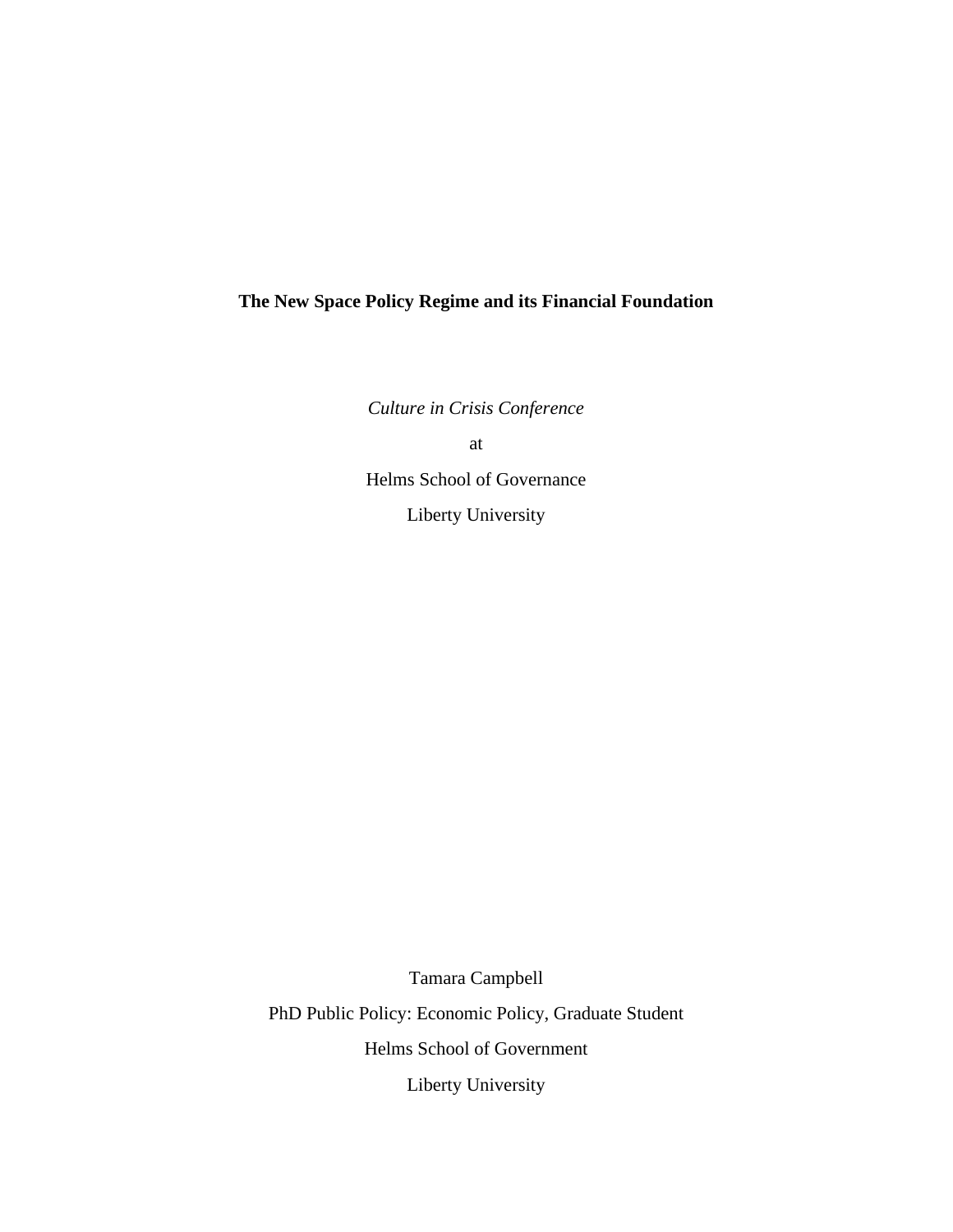# **The New Space Policy Regime and its Financial Foundation**

*Culture in Crisis Conference*

at

Helms School of Governance

Liberty University

Tamara Campbell PhD Public Policy: Economic Policy, Graduate Student Helms School of Government Liberty University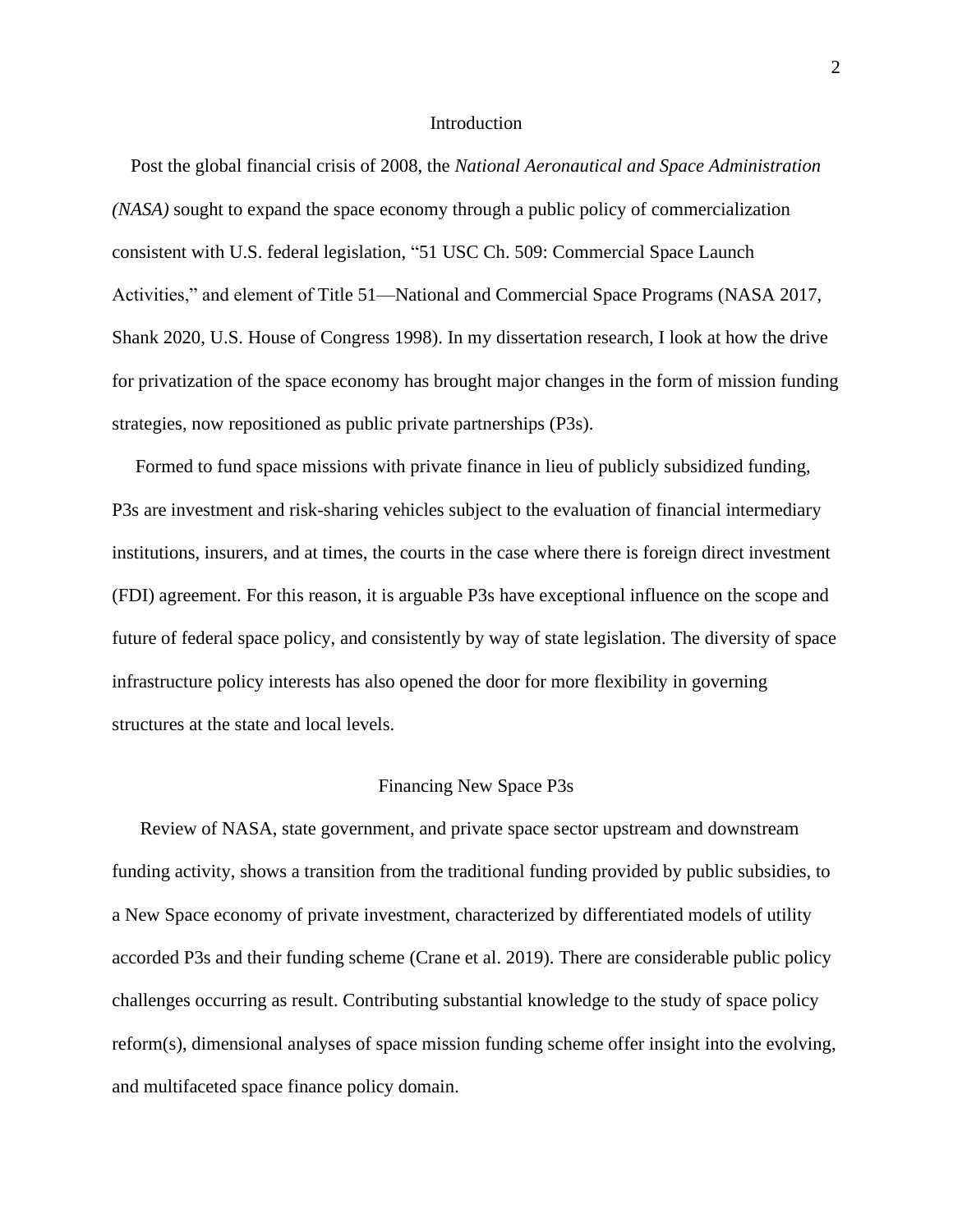#### **Introduction**

 Post the global financial crisis of 2008, the *National Aeronautical and Space Administration (NASA)* sought to expand the space economy through a public policy of commercialization consistent with U.S. federal legislation, "51 USC Ch. 509: Commercial Space Launch Activities," and element of Title 51—National and Commercial Space Programs (NASA 2017, Shank 2020, U.S. House of Congress 1998). In my dissertation research, I look at how the drive for privatization of the space economy has brought major changes in the form of mission funding strategies, now repositioned as public private partnerships (P3s).

 Formed to fund space missions with private finance in lieu of publicly subsidized funding, P3s are investment and risk-sharing vehicles subject to the evaluation of financial intermediary institutions, insurers, and at times, the courts in the case where there is foreign direct investment (FDI) agreement. For this reason, it is arguable P3s have exceptional influence on the scope and future of federal space policy, and consistently by way of state legislation. The diversity of space infrastructure policy interests has also opened the door for more flexibility in governing structures at the state and local levels.

## Financing New Space P3s

 Review of NASA, state government, and private space sector upstream and downstream funding activity, shows a transition from the traditional funding provided by public subsidies, to a New Space economy of private investment, characterized by differentiated models of utility accorded P3s and their funding scheme (Crane et al. 2019). There are considerable public policy challenges occurring as result. Contributing substantial knowledge to the study of space policy reform(s), dimensional analyses of space mission funding scheme offer insight into the evolving, and multifaceted space finance policy domain.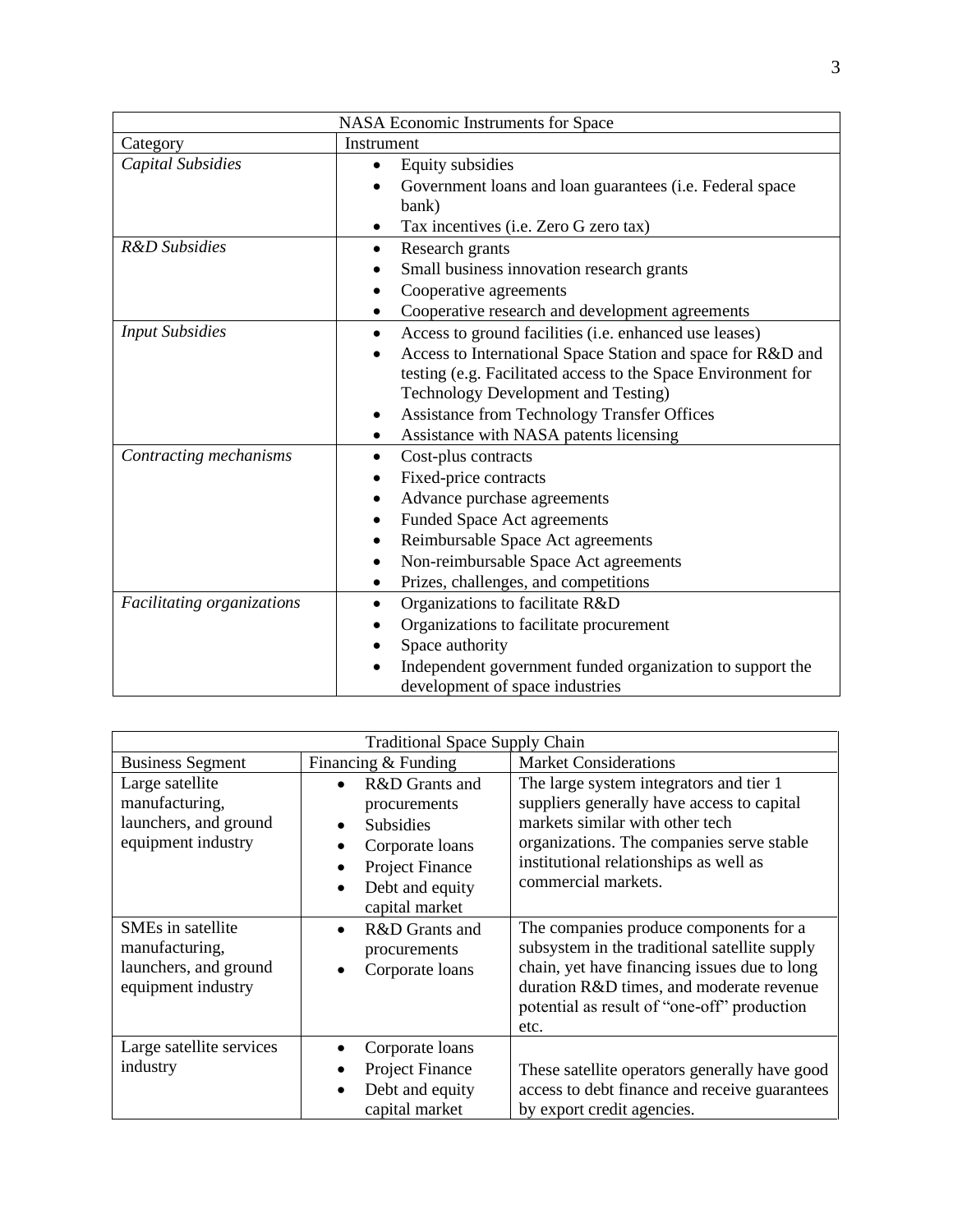| NASA Economic Instruments for Space |                                                               |  |
|-------------------------------------|---------------------------------------------------------------|--|
| Category                            | Instrument                                                    |  |
| Capital Subsidies                   | Equity subsidies                                              |  |
|                                     | Government loans and loan guarantees (i.e. Federal space      |  |
|                                     | bank)                                                         |  |
|                                     | Tax incentives (i.e. Zero G zero tax)<br>٠                    |  |
| R&D Subsidies                       | Research grants<br>$\bullet$                                  |  |
|                                     | Small business innovation research grants                     |  |
|                                     | Cooperative agreements                                        |  |
|                                     | Cooperative research and development agreements<br>٠          |  |
| <b>Input Subsidies</b>              | Access to ground facilities (i.e. enhanced use leases)        |  |
|                                     | Access to International Space Station and space for R&D and   |  |
|                                     | testing (e.g. Facilitated access to the Space Environment for |  |
|                                     | <b>Technology Development and Testing)</b>                    |  |
|                                     | Assistance from Technology Transfer Offices                   |  |
|                                     | Assistance with NASA patents licensing                        |  |
| Contracting mechanisms              | Cost-plus contracts                                           |  |
|                                     | Fixed-price contracts                                         |  |
|                                     | Advance purchase agreements                                   |  |
|                                     | <b>Funded Space Act agreements</b>                            |  |
|                                     | Reimbursable Space Act agreements<br>٠                        |  |
|                                     | Non-reimbursable Space Act agreements                         |  |
|                                     | Prizes, challenges, and competitions                          |  |
| Facilitating organizations          | Organizations to facilitate R&D                               |  |
|                                     | Organizations to facilitate procurement                       |  |
|                                     | Space authority                                               |  |
|                                     | Independent government funded organization to support the     |  |
|                                     | development of space industries                               |  |

| <b>Traditional Space Supply Chain</b>                                              |                                                                                                                                                                                                       |                                                                                                                                                                                                                                            |  |  |
|------------------------------------------------------------------------------------|-------------------------------------------------------------------------------------------------------------------------------------------------------------------------------------------------------|--------------------------------------------------------------------------------------------------------------------------------------------------------------------------------------------------------------------------------------------|--|--|
| <b>Business Segment</b>                                                            | Financing & Funding                                                                                                                                                                                   | <b>Market Considerations</b>                                                                                                                                                                                                               |  |  |
| Large satellite<br>manufacturing,<br>launchers, and ground<br>equipment industry   | R&D Grants and<br>$\bullet$<br>procurements<br><b>Subsidies</b><br>$\bullet$<br>Corporate loans<br>$\bullet$<br><b>Project Finance</b><br>$\bullet$<br>Debt and equity<br>$\bullet$<br>capital market | The large system integrators and tier 1<br>suppliers generally have access to capital<br>markets similar with other tech<br>organizations. The companies serve stable<br>institutional relationships as well as<br>commercial markets.     |  |  |
| SMEs in satellite<br>manufacturing,<br>launchers, and ground<br>equipment industry | R&D Grants and<br>$\bullet$<br>procurements<br>Corporate loans<br>$\bullet$                                                                                                                           | The companies produce components for a<br>subsystem in the traditional satellite supply<br>chain, yet have financing issues due to long<br>duration R&D times, and moderate revenue<br>potential as result of "one-off" production<br>etc. |  |  |
| Large satellite services<br>industry                                               | Corporate loans<br><b>Project Finance</b><br>$\bullet$<br>Debt and equity<br>$\bullet$<br>capital market                                                                                              | These satellite operators generally have good<br>access to debt finance and receive guarantees<br>by export credit agencies.                                                                                                               |  |  |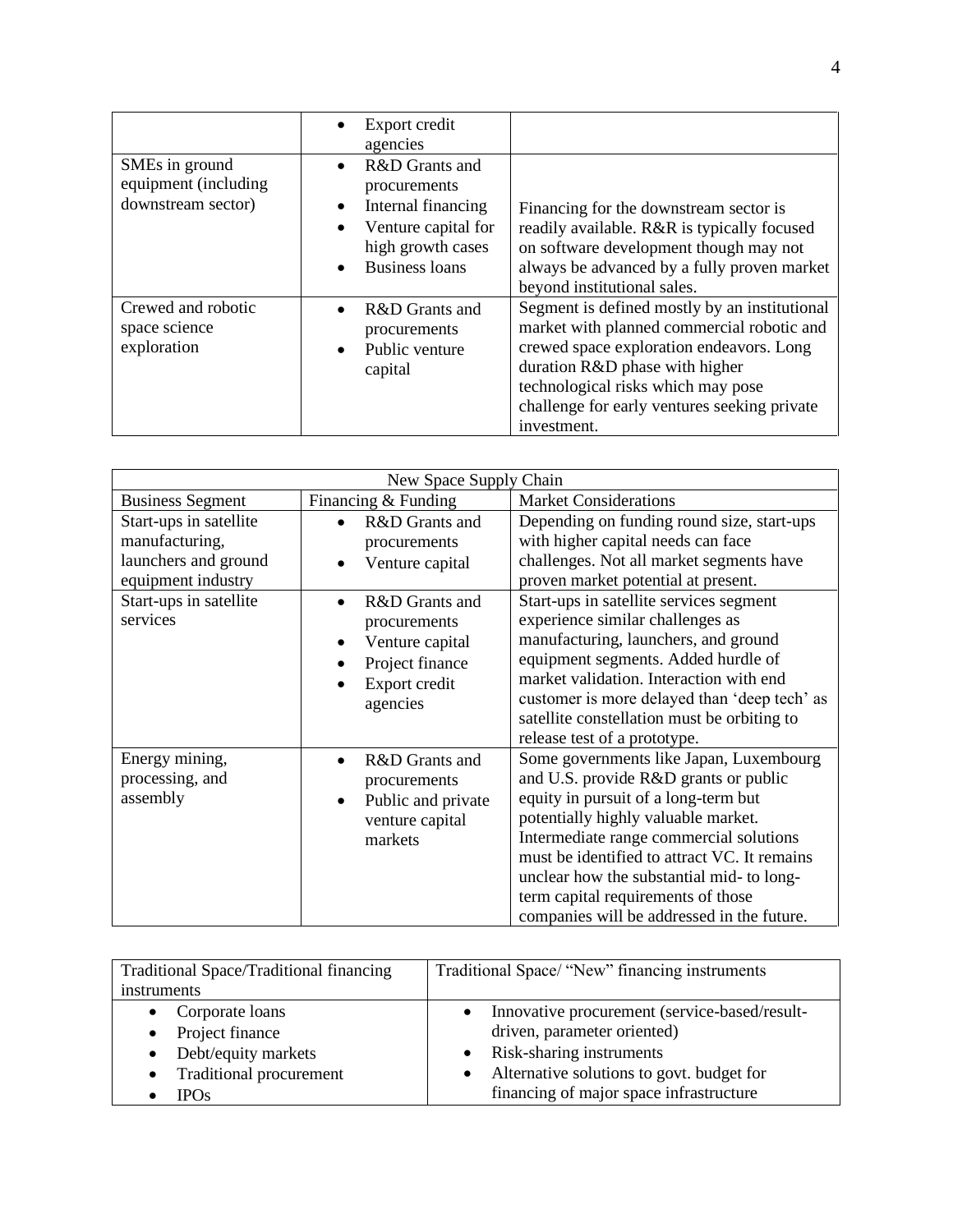|                                                              | Export credit<br>$\bullet$<br>agencies                                                                                                                                 |                                                                                                                                                                                                                                                                                |
|--------------------------------------------------------------|------------------------------------------------------------------------------------------------------------------------------------------------------------------------|--------------------------------------------------------------------------------------------------------------------------------------------------------------------------------------------------------------------------------------------------------------------------------|
| SMEs in ground<br>equipment (including<br>downstream sector) | R&D Grants and<br>$\bullet$<br>procurements<br>Internal financing<br>$\bullet$<br>Venture capital for<br>$\bullet$<br>high growth cases<br>Business loans<br>$\bullet$ | Financing for the downstream sector is<br>readily available. R&R is typically focused<br>on software development though may not<br>always be advanced by a fully proven market<br>beyond institutional sales.                                                                  |
| Crewed and robotic<br>space science<br>exploration           | R&D Grants and<br>$\bullet$<br>procurements<br>Public venture<br>$\bullet$<br>capital                                                                                  | Segment is defined mostly by an institutional<br>market with planned commercial robotic and<br>crewed space exploration endeavors. Long<br>duration R&D phase with higher<br>technological risks which may pose<br>challenge for early ventures seeking private<br>investment. |

| New Space Supply Chain                                                                 |                                                                                                   |                                                                                                                                                                                                                                                                                                                                                                                             |  |
|----------------------------------------------------------------------------------------|---------------------------------------------------------------------------------------------------|---------------------------------------------------------------------------------------------------------------------------------------------------------------------------------------------------------------------------------------------------------------------------------------------------------------------------------------------------------------------------------------------|--|
| <b>Business Segment</b>                                                                | Financing & Funding                                                                               | <b>Market Considerations</b>                                                                                                                                                                                                                                                                                                                                                                |  |
| Start-ups in satellite<br>manufacturing,<br>launchers and ground<br>equipment industry | R&D Grants and<br>procurements<br>Venture capital                                                 | Depending on funding round size, start-ups<br>with higher capital needs can face<br>challenges. Not all market segments have<br>proven market potential at present.                                                                                                                                                                                                                         |  |
| Start-ups in satellite<br>services                                                     | R&D Grants and<br>procurements<br>Venture capital<br>Project finance<br>Export credit<br>agencies | Start-ups in satellite services segment<br>experience similar challenges as<br>manufacturing, launchers, and ground<br>equipment segments. Added hurdle of<br>market validation. Interaction with end<br>customer is more delayed than 'deep tech' as<br>satellite constellation must be orbiting to<br>release test of a prototype.                                                        |  |
| Energy mining,<br>processing, and<br>assembly                                          | R&D Grants and<br>procurements<br>Public and private<br>$\bullet$<br>venture capital<br>markets   | Some governments like Japan, Luxembourg<br>and U.S. provide R&D grants or public<br>equity in pursuit of a long-term but<br>potentially highly valuable market.<br>Intermediate range commercial solutions<br>must be identified to attract VC. It remains<br>unclear how the substantial mid- to long-<br>term capital requirements of those<br>companies will be addressed in the future. |  |

| Traditional Space/Traditional financing | Traditional Space/ "New" financing instruments |
|-----------------------------------------|------------------------------------------------|
| instruments                             |                                                |
| Corporate loans                         | Innovative procurement (service-based/result-  |
| Project finance<br>$\bullet$            | driven, parameter oriented)                    |
| Debt/equity markets                     | Risk-sharing instruments                       |
| Traditional procurement<br>$\bullet$    | Alternative solutions to govt. budget for      |
| <b>IPOs</b>                             | financing of major space infrastructure        |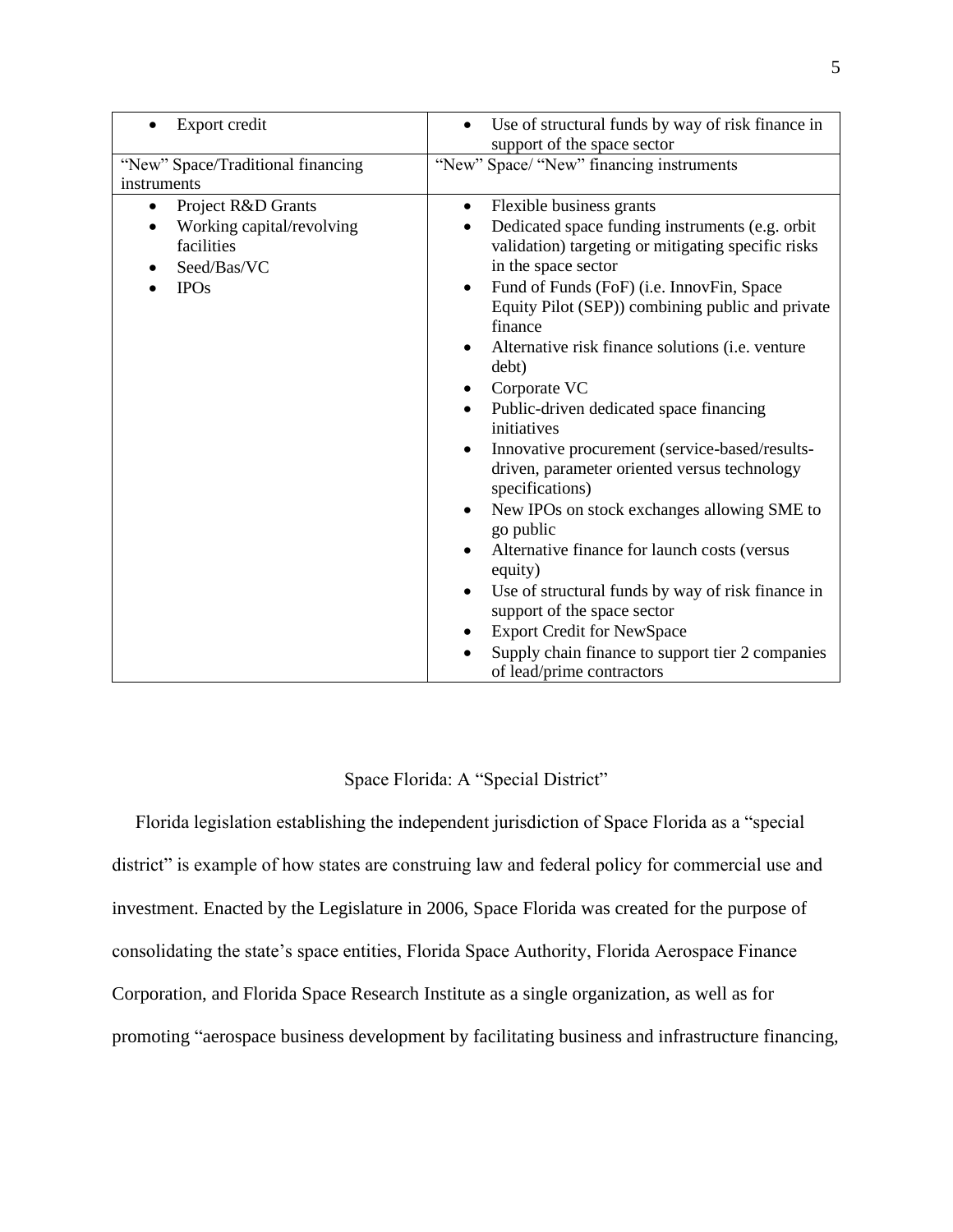| Export credit<br>$\bullet$                       | Use of structural funds by way of risk finance in<br>$\bullet$<br>support of the space sector |
|--------------------------------------------------|-----------------------------------------------------------------------------------------------|
| "New" Space/Traditional financing<br>instruments | "New" Space/ "New" financing instruments                                                      |
|                                                  |                                                                                               |
| Project R&D Grants<br>$\bullet$                  | Flexible business grants<br>$\bullet$                                                         |
| Working capital/revolving<br>$\bullet$           | Dedicated space funding instruments (e.g. orbit<br>$\bullet$                                  |
| facilities                                       | validation) targeting or mitigating specific risks                                            |
| Seed/Bas/VC                                      | in the space sector                                                                           |
| <b>IPOs</b>                                      | Fund of Funds (FoF) (i.e. InnovFin, Space<br>$\bullet$                                        |
|                                                  | Equity Pilot (SEP)) combining public and private                                              |
|                                                  | finance                                                                                       |
|                                                  | Alternative risk finance solutions (i.e. venture<br>$\bullet$                                 |
|                                                  | debt)                                                                                         |
|                                                  | Corporate VC                                                                                  |
|                                                  | Public-driven dedicated space financing<br>$\bullet$<br>initiatives                           |
|                                                  | Innovative procurement (service-based/results-<br>٠                                           |
|                                                  | driven, parameter oriented versus technology<br>specifications)                               |
|                                                  | New IPOs on stock exchanges allowing SME to<br>$\bullet$                                      |
|                                                  | go public                                                                                     |
|                                                  | Alternative finance for launch costs (versus<br>$\bullet$<br>equity)                          |
|                                                  | Use of structural funds by way of risk finance in<br>$\bullet$                                |
|                                                  | support of the space sector                                                                   |
|                                                  | <b>Export Credit for NewSpace</b><br>٠                                                        |
|                                                  | Supply chain finance to support tier 2 companies<br>$\bullet$                                 |
|                                                  | of lead/prime contractors                                                                     |

Space Florida: A "Special District"

 Florida legislation establishing the independent jurisdiction of Space Florida as a "special district" is example of how states are construing law and federal policy for commercial use and investment. Enacted by the Legislature in 2006, Space Florida was created for the purpose of consolidating the state's space entities, Florida Space Authority, Florida Aerospace Finance Corporation, and Florida Space Research Institute as a single organization, as well as for promoting "aerospace business development by facilitating business and infrastructure financing,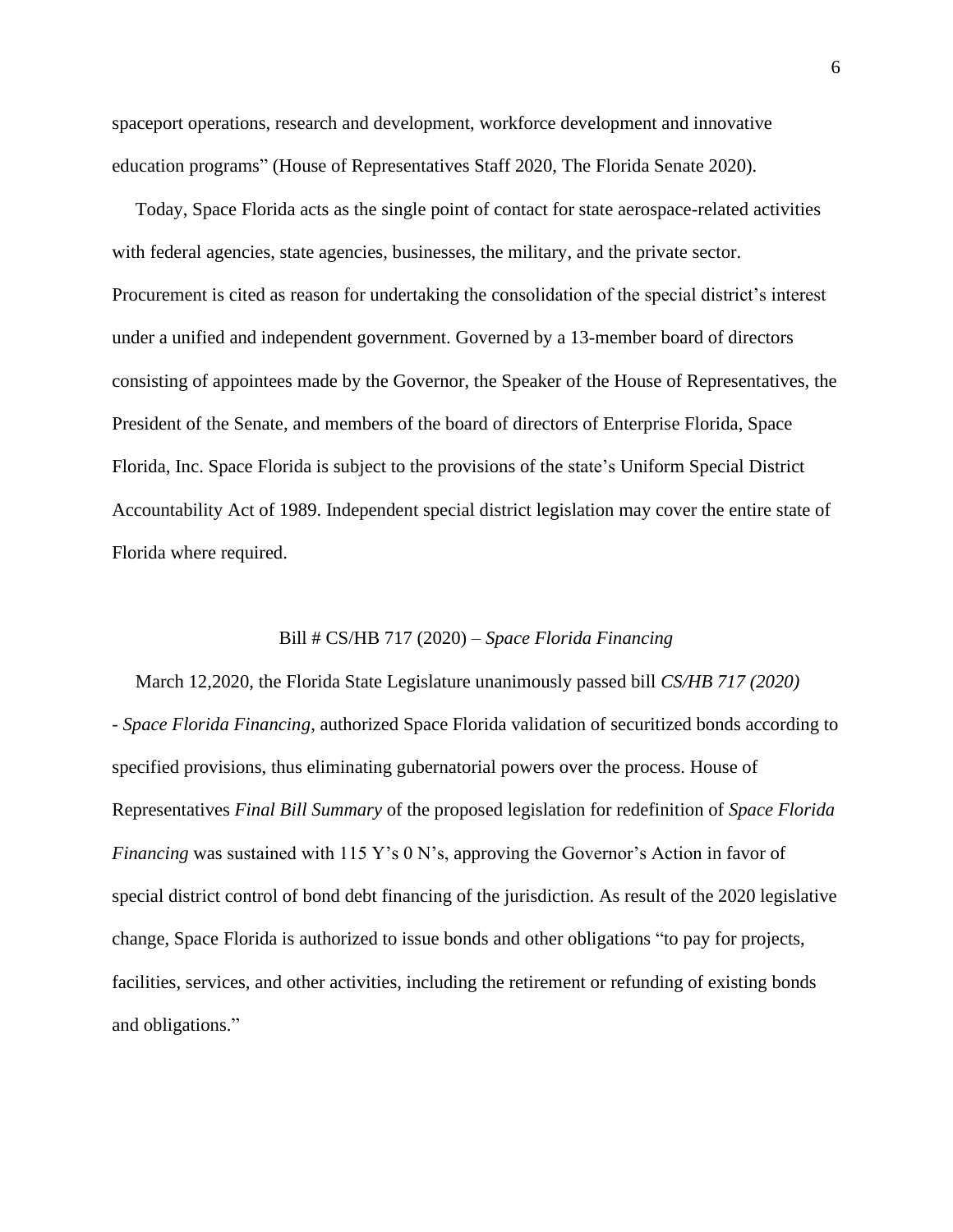spaceport operations, research and development, workforce development and innovative education programs" (House of Representatives Staff 2020, The Florida Senate 2020).

 Today, Space Florida acts as the single point of contact for state aerospace-related activities with federal agencies, state agencies, businesses, the military, and the private sector. Procurement is cited as reason for undertaking the consolidation of the special district's interest under a unified and independent government. Governed by a 13-member board of directors consisting of appointees made by the Governor, the Speaker of the House of Representatives, the President of the Senate, and members of the board of directors of Enterprise Florida, Space Florida, Inc. Space Florida is subject to the provisions of the state's Uniform Special District Accountability Act of 1989. Independent special district legislation may cover the entire state of Florida where required.

### Bill # CS/HB 717 (2020) – *Space Florida Financing*

 March 12,2020, the Florida State Legislature unanimously passed bill *CS/HB 717 (2020) - Space Florida Financing*, authorized Space Florida validation of securitized bonds according to specified provisions, thus eliminating gubernatorial powers over the process. House of Representatives *Final Bill Summary* of the proposed legislation for redefinition of *Space Florida Financing* was sustained with 115 Y's 0 N's, approving the Governor's Action in favor of special district control of bond debt financing of the jurisdiction. As result of the 2020 legislative change, Space Florida is authorized to issue bonds and other obligations "to pay for projects, facilities, services, and other activities, including the retirement or refunding of existing bonds and obligations."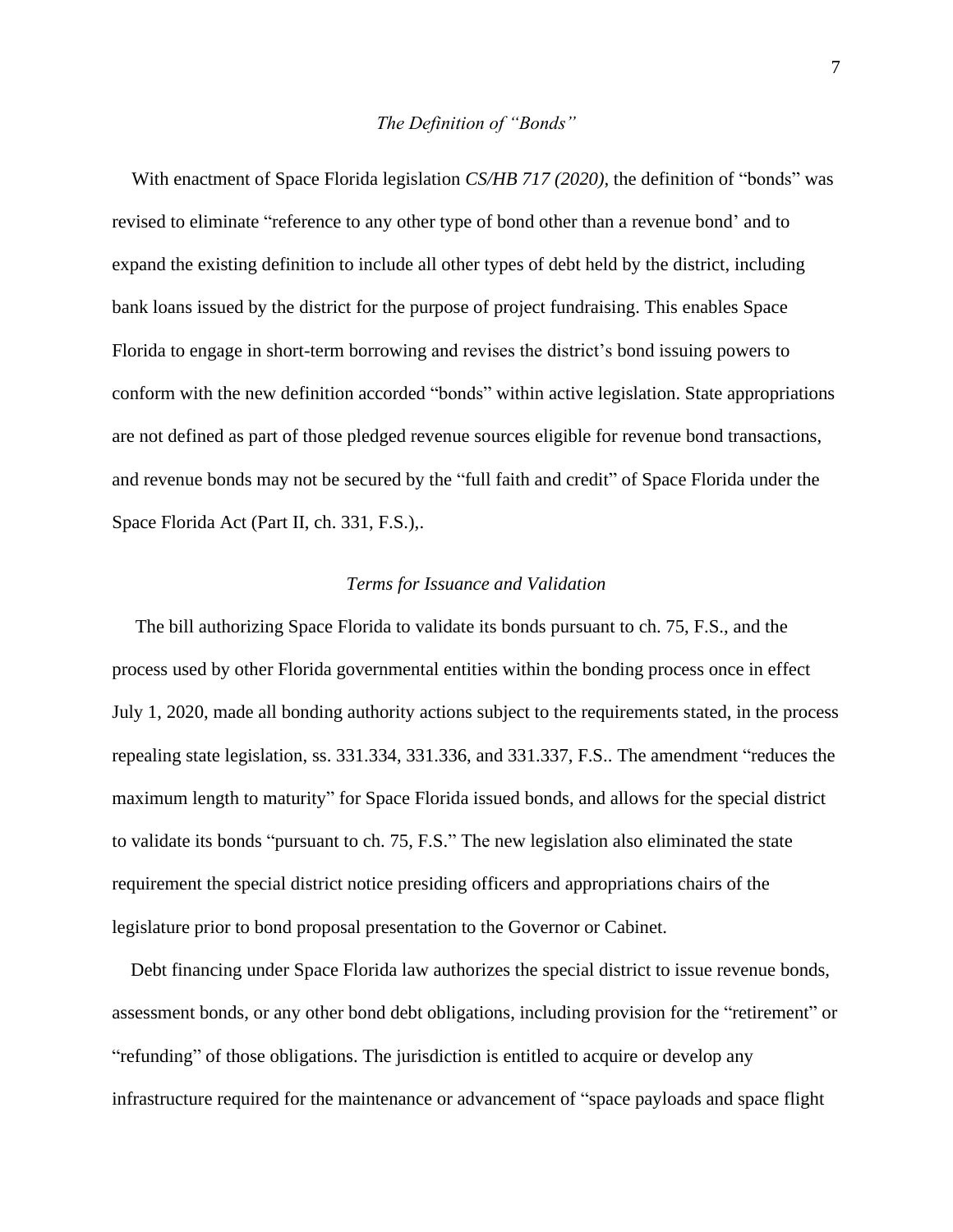### *The Definition of "Bonds"*

 With enactment of Space Florida legislation *CS/HB 717 (2020),* the definition of "bonds" was revised to eliminate "reference to any other type of bond other than a revenue bond' and to expand the existing definition to include all other types of debt held by the district, including bank loans issued by the district for the purpose of project fundraising. This enables Space Florida to engage in short-term borrowing and revises the district's bond issuing powers to conform with the new definition accorded "bonds" within active legislation. State appropriations are not defined as part of those pledged revenue sources eligible for revenue bond transactions, and revenue bonds may not be secured by the "full faith and credit" of Space Florida under the Space Florida Act (Part II, ch. 331, F.S.),.

### *Terms for Issuance and Validation*

 The bill authorizing Space Florida to validate its bonds pursuant to ch. 75, F.S., and the process used by other Florida governmental entities within the bonding process once in effect July 1, 2020, made all bonding authority actions subject to the requirements stated, in the process repealing state legislation, ss. 331.334, 331.336, and 331.337, F.S.. The amendment "reduces the maximum length to maturity" for Space Florida issued bonds, and allows for the special district to validate its bonds "pursuant to ch. 75, F.S." The new legislation also eliminated the state requirement the special district notice presiding officers and appropriations chairs of the legislature prior to bond proposal presentation to the Governor or Cabinet.

 Debt financing under Space Florida law authorizes the special district to issue revenue bonds, assessment bonds, or any other bond debt obligations, including provision for the "retirement" or "refunding" of those obligations. The jurisdiction is entitled to acquire or develop any infrastructure required for the maintenance or advancement of "space payloads and space flight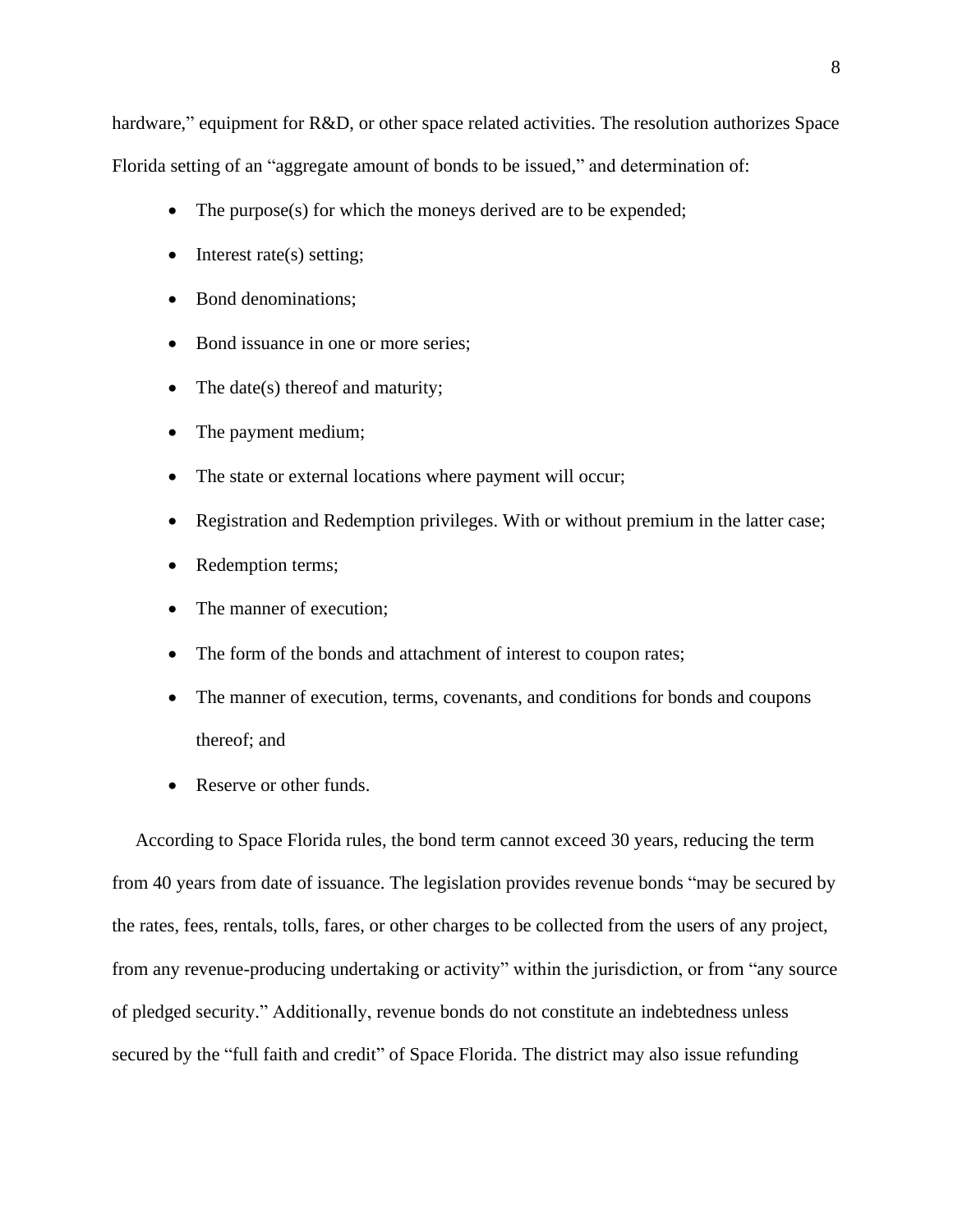hardware," equipment for R&D, or other space related activities. The resolution authorizes Space Florida setting of an "aggregate amount of bonds to be issued," and determination of:

- The purpose(s) for which the moneys derived are to be expended;
- Interest rate(s) setting;
- Bond denominations;
- Bond issuance in one or more series;
- The date(s) thereof and maturity;
- The payment medium;
- The state or external locations where payment will occur;
- Registration and Redemption privileges. With or without premium in the latter case;
- Redemption terms;
- The manner of execution;
- The form of the bonds and attachment of interest to coupon rates;
- The manner of execution, terms, covenants, and conditions for bonds and coupons thereof; and
- Reserve or other funds.

 According to Space Florida rules, the bond term cannot exceed 30 years, reducing the term from 40 years from date of issuance. The legislation provides revenue bonds "may be secured by the rates, fees, rentals, tolls, fares, or other charges to be collected from the users of any project, from any revenue-producing undertaking or activity" within the jurisdiction, or from "any source of pledged security." Additionally, revenue bonds do not constitute an indebtedness unless secured by the "full faith and credit" of Space Florida. The district may also issue refunding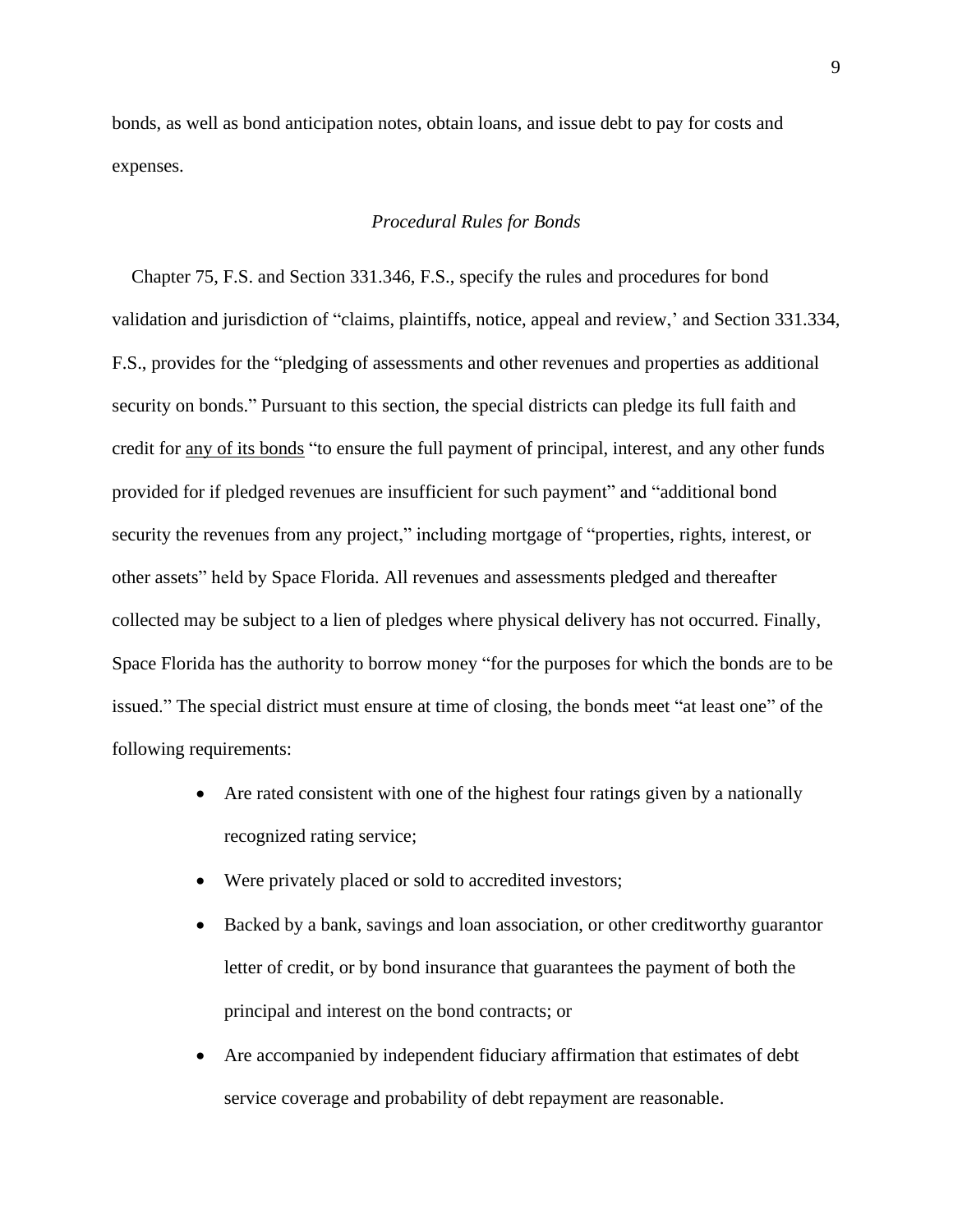bonds, as well as bond anticipation notes, obtain loans, and issue debt to pay for costs and expenses.

# *Procedural Rules for Bonds*

 Chapter 75, F.S. and Section 331.346, F.S., specify the rules and procedures for bond validation and jurisdiction of "claims, plaintiffs, notice, appeal and review,' and Section 331.334, F.S., provides for the "pledging of assessments and other revenues and properties as additional security on bonds." Pursuant to this section, the special districts can pledge its full faith and credit for any of its bonds "to ensure the full payment of principal, interest, and any other funds provided for if pledged revenues are insufficient for such payment" and "additional bond security the revenues from any project," including mortgage of "properties, rights, interest, or other assets" held by Space Florida. All revenues and assessments pledged and thereafter collected may be subject to a lien of pledges where physical delivery has not occurred. Finally, Space Florida has the authority to borrow money "for the purposes for which the bonds are to be issued." The special district must ensure at time of closing, the bonds meet "at least one" of the following requirements:

- Are rated consistent with one of the highest four ratings given by a nationally recognized rating service;
- Were privately placed or sold to accredited investors;
- Backed by a bank, savings and loan association, or other creditworthy guarantor letter of credit, or by bond insurance that guarantees the payment of both the principal and interest on the bond contracts; or
- Are accompanied by independent fiduciary affirmation that estimates of debt service coverage and probability of debt repayment are reasonable.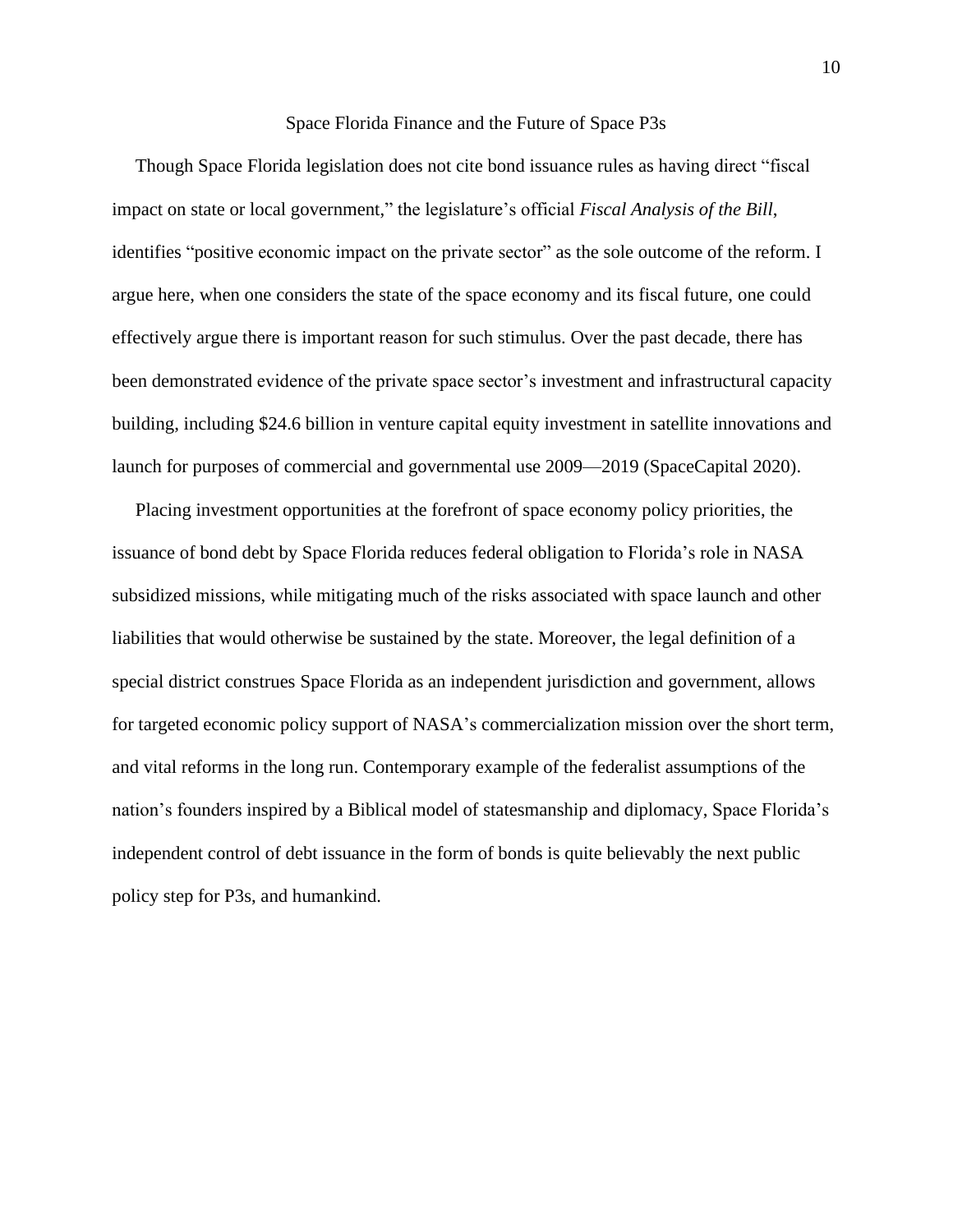#### Space Florida Finance and the Future of Space P3s

 Though Space Florida legislation does not cite bond issuance rules as having direct "fiscal impact on state or local government," the legislature's official *Fiscal Analysis of the Bill*, identifies "positive economic impact on the private sector" as the sole outcome of the reform. I argue here, when one considers the state of the space economy and its fiscal future, one could effectively argue there is important reason for such stimulus. Over the past decade, there has been demonstrated evidence of the private space sector's investment and infrastructural capacity building, including \$24.6 billion in venture capital equity investment in satellite innovations and launch for purposes of commercial and governmental use 2009—2019 (SpaceCapital 2020).

 Placing investment opportunities at the forefront of space economy policy priorities, the issuance of bond debt by Space Florida reduces federal obligation to Florida's role in NASA subsidized missions, while mitigating much of the risks associated with space launch and other liabilities that would otherwise be sustained by the state. Moreover, the legal definition of a special district construes Space Florida as an independent jurisdiction and government, allows for targeted economic policy support of NASA's commercialization mission over the short term, and vital reforms in the long run. Contemporary example of the federalist assumptions of the nation's founders inspired by a Biblical model of statesmanship and diplomacy, Space Florida's independent control of debt issuance in the form of bonds is quite believably the next public policy step for P3s, and humankind.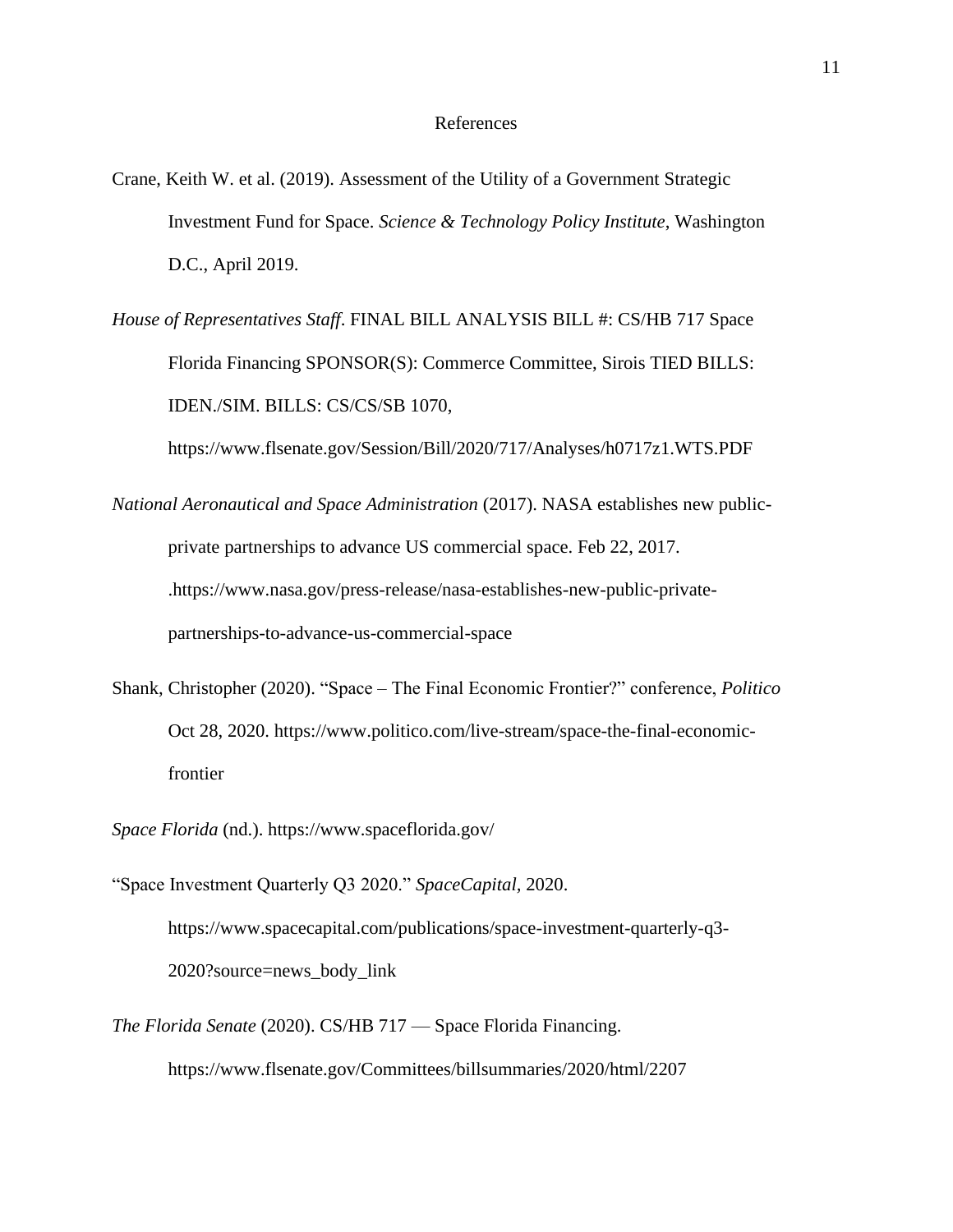- Crane, Keith W. et al. (2019). Assessment of the Utility of a Government Strategic Investment Fund for Space. *Science & Technology Policy Institute*, Washington D.C., April 2019.
- *House of Representatives Staff*. FINAL BILL ANALYSIS BILL #: CS/HB 717 Space Florida Financing SPONSOR(S): Commerce Committee, Sirois TIED BILLS: IDEN./SIM. BILLS: CS/CS/SB 1070,

<https://www.flsenate.gov/Session/Bill/2020/717/Analyses/h0717z1.WTS.PDF>

- *National Aeronautical and Space Administration* (2017). NASA establishes new publicprivate partnerships to advance US commercial space. Feb 22, 2017. [.https://www.nasa.gov/press-release/nasa-establishes-new-public-private](https://www.nasa.gov/press-release/nasa-establishes-new-public-private-partnerships-to-advance-us-commercial-space)[partnerships-to-advance-us-commercial-space](https://www.nasa.gov/press-release/nasa-establishes-new-public-private-partnerships-to-advance-us-commercial-space)
- Shank, Christopher (2020). "Space The Final Economic Frontier?" conference, *Politico*  Oct 28, 2020. https://www.politico.com/live-stream/space-the-final-economicfrontier
- *Space Florida* (nd.). https://www.spaceflorida.gov/

"Space Investment Quarterly Q3 2020." *SpaceCapital,* 2020.

[https://www.spacecapital.com/publications/space-investment-quarterly-q3-](https://www.spacecapital.com/publications/space-investment-quarterly-q3-2020?source=news_body_link) [2020?source=news\\_body\\_link](https://www.spacecapital.com/publications/space-investment-quarterly-q3-2020?source=news_body_link)

*The Florida Senate* (2020). CS/HB 717 — Space Florida Financing. https://www.flsenate.gov/Committees/billsummaries/2020/html/2207